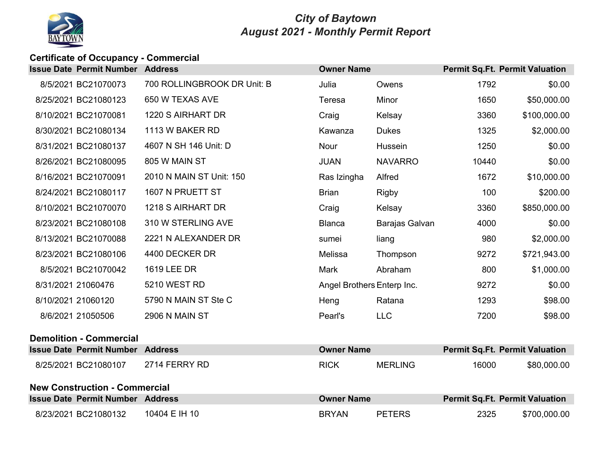

### *City of Baytown August 2021 - Monthly Permit Report*

# **Certificate of Occupancy - Commercial**

| <b>Issue Date Permit Number Address</b> |                             | <b>Owner Name</b>          |                |       | <b>Permit Sq.Ft. Permit Valuation</b> |
|-----------------------------------------|-----------------------------|----------------------------|----------------|-------|---------------------------------------|
| 8/5/2021 BC21070073                     | 700 ROLLINGBROOK DR Unit: B | Julia                      | Owens          | 1792  | \$0.00                                |
| 8/25/2021 BC21080123                    | 650 W TEXAS AVE             | Teresa                     | Minor          | 1650  | \$50,000.00                           |
| 8/10/2021 BC21070081                    | 1220 S AIRHART DR           | Craig                      | Kelsay         | 3360  | \$100,000.00                          |
| 8/30/2021 BC21080134                    | 1113 W BAKER RD             | Kawanza                    | <b>Dukes</b>   | 1325  | \$2,000.00                            |
| 8/31/2021 BC21080137                    | 4607 N SH 146 Unit: D       | Nour                       | Hussein        | 1250  | \$0.00                                |
| 8/26/2021 BC21080095                    | 805 W MAIN ST               | <b>JUAN</b>                | <b>NAVARRO</b> | 10440 | \$0.00                                |
| 8/16/2021 BC21070091                    | 2010 N MAIN ST Unit: 150    | Ras Izingha                | Alfred         | 1672  | \$10,000.00                           |
| 8/24/2021 BC21080117                    | 1607 N PRUETT ST            | <b>Brian</b>               | <b>Rigby</b>   | 100   | \$200.00                              |
| 8/10/2021 BC21070070                    | 1218 S AIRHART DR           | Craig                      | Kelsay         | 3360  | \$850,000.00                          |
| 8/23/2021 BC21080108                    | 310 W STERLING AVE          | <b>Blanca</b>              | Barajas Galvan | 4000  | \$0.00                                |
| 8/13/2021 BC21070088                    | 2221 N ALEXANDER DR         | sumei                      | liang          | 980   | \$2,000.00                            |
| 8/23/2021 BC21080106                    | 4400 DECKER DR              | Melissa                    | Thompson       | 9272  | \$721,943.00                          |
| 8/5/2021 BC21070042                     | 1619 LEE DR                 | Mark                       | Abraham        | 800   | \$1,000.00                            |
| 8/31/2021 21060476                      | 5210 WEST RD                | Angel Brothers Enterp Inc. |                | 9272  | \$0.00                                |
| 8/10/2021 21060120                      | 5790 N MAIN ST Ste C        | Heng                       | Ratana         | 1293  | \$98.00                               |
| 8/6/2021 21050506                       | 2906 N MAIN ST              | Pearl's                    | <b>LLC</b>     | 7200  | \$98.00                               |
| <b>Demolition - Commercial</b>          |                             |                            |                |       |                                       |
| <b>Issue Date Permit Number Address</b> |                             | <b>Owner Name</b>          |                |       | <b>Permit Sq.Ft. Permit Valuation</b> |
| 8/25/2021 BC21080107                    | 2714 FERRY RD               | <b>RICK</b>                | <b>MERLING</b> | 16000 | \$80,000.00                           |
| <b>New Construction - Commercial</b>    |                             |                            |                |       |                                       |
| <b>Issue Date Permit Number Address</b> |                             | <b>Owner Name</b>          |                |       | <b>Permit Sq.Ft. Permit Valuation</b> |
| 8/23/2021 BC21080132                    | 10404 E IH 10               | <b>BRYAN</b>               | <b>PETERS</b>  | 2325  | \$700,000.00                          |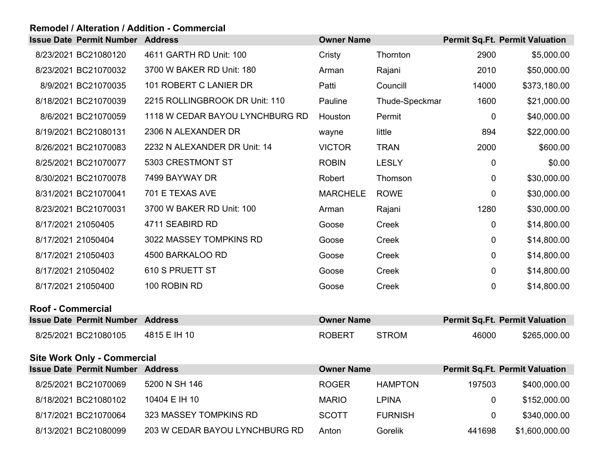### **Remodel / Alteration / Addition - Commercial**

|                   | <b>Issue Date Permit Number Address</b> |                                 | <b>Owner Name</b> |                |                | <b>Permit Sq.Ft. Permit Valuation</b> |
|-------------------|-----------------------------------------|---------------------------------|-------------------|----------------|----------------|---------------------------------------|
|                   | 8/23/2021 BC21080120                    | 4611 GARTH RD Unit: 100         | Cristy            | Thornton       | 2900           | \$5,000.00                            |
|                   | 8/23/2021 BC21070032                    | 3700 W BAKER RD Unit: 180       | Arman             | Rajani         | 2010           | \$50,000.00                           |
|                   | 8/9/2021 BC21070035                     | 101 ROBERT C LANIER DR          | Patti             | Councill       | 14000          | \$373,180.00                          |
|                   | 8/18/2021 BC21070039                    | 2215 ROLLINGBROOK DR Unit: 110  | Pauline           | Thude-Speckmar | 1600           | \$21,000.00                           |
|                   | 8/6/2021 BC21070059                     | 1118 W CEDAR BAYOU LYNCHBURG RD | Houston           | Permit         | $\mathbf 0$    | \$40,000.00                           |
|                   | 8/19/2021 BC21080131                    | 2306 N ALEXANDER DR             | wayne             | little         | 894            | \$22,000.00                           |
|                   | 8/26/2021 BC21070083                    | 2232 N ALEXANDER DR Unit: 14    | <b>VICTOR</b>     | <b>TRAN</b>    | 2000           | \$600.00                              |
|                   | 8/25/2021 BC21070077                    | 5303 CRESTMONT ST               | <b>ROBIN</b>      | <b>LESLY</b>   | $\mathbf 0$    | \$0.00                                |
|                   | 8/30/2021 BC21070078                    | 7499 BAYWAY DR                  | Robert            | Thomson        | $\mathbf 0$    | \$30,000.00                           |
|                   | 8/31/2021 BC21070041                    | 701 E TEXAS AVE                 | <b>MARCHELE</b>   | <b>ROWE</b>    | 0              | \$30,000.00                           |
|                   | 8/23/2021 BC21070031                    | 3700 W BAKER RD Unit: 100       | Arman             | Rajani         | 1280           | \$30,000.00                           |
|                   | 8/17/2021 21050405                      | 4711 SEABIRD RD                 | Goose             | Creek          | $\mathbf 0$    | \$14,800.00                           |
|                   | 8/17/2021 21050404                      | 3022 MASSEY TOMPKINS RD         | Goose             | Creek          | $\overline{0}$ | \$14,800.00                           |
|                   | 8/17/2021 21050403                      | 4500 BARKALOO RD                | Goose             | Creek          | 0              | \$14,800.00                           |
|                   | 8/17/2021 21050402                      | 610 S PRUETT ST                 | Goose             | Creek          | 0              | \$14,800.00                           |
|                   | 8/17/2021 21050400                      | 100 ROBIN RD                    | Goose             | Creek          | 0              | \$14,800.00                           |
| Roof - Commercial |                                         |                                 |                   |                |                |                                       |
|                   | <b>Issue Date Permit Number Address</b> |                                 | <b>Owner Name</b> |                |                | <b>Permit Sq.Ft. Permit Valuation</b> |
|                   | 8/25/2021 BC21080105                    | 4815 E IH 10                    | <b>ROBERT</b>     | <b>STROM</b>   | 46000          | \$265,000.00                          |
|                   | <b>Site Work Only - Commercial</b>      |                                 |                   |                |                |                                       |
|                   |                                         |                                 |                   |                |                |                                       |

| <b>Issue Date Permit Number</b> | <b>Address</b>                 | <b>Owner Name</b> |                |                | <b>Permit Sq.Ft. Permit Valuation</b> |
|---------------------------------|--------------------------------|-------------------|----------------|----------------|---------------------------------------|
| 8/25/2021 BC21070069            | 5200 N SH 146                  | <b>ROGER</b>      | <b>HAMPTON</b> | 197503         | \$400,000.00                          |
| 8/18/2021 BC21080102            | 10404 E IH 10                  | <b>MARIO</b>      | LPINA          | 0              | \$152,000.00                          |
| 8/17/2021 BC21070064            | 323 MASSEY TOMPKINS RD         | <b>SCOTT</b>      | <b>FURNISH</b> | $\overline{0}$ | \$340,000.00                          |
| 8/13/2021 BC21080099            | 203 W CEDAR BAYOU LYNCHBURG RD | Anton             | Gorelik        | 441698         | \$1,600,000.00                        |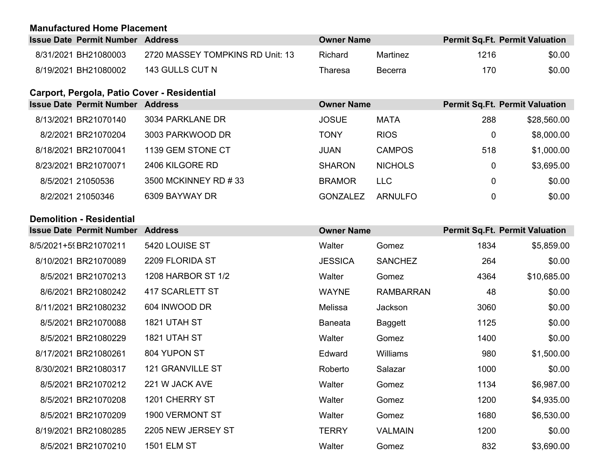### **Manufactured Home Placement**

| <b>Issue Date Permit Number Address</b> |                                  | <b>Owner Name</b> |          | <b>Permit Sq.Ft. Permit Valuation</b> |        |
|-----------------------------------------|----------------------------------|-------------------|----------|---------------------------------------|--------|
| 8/31/2021 BH21080003                    | 2720 MASSEY TOMPKINS RD Unit: 13 | Richard           | Martinez | 1216                                  | \$0.00 |
| 8/19/2021 BH21080002                    | 143 GULLS CUT N                  | Tharesa           | Becerra  | 170                                   | \$0.00 |

## **Carport, Pergola, Patio Cover - Residential**

| <b>Issue Date Permit Number</b> | <b>Address</b>       | <b>Owner Name</b> |                |     | <b>Permit Sq.Ft. Permit Valuation</b> |
|---------------------------------|----------------------|-------------------|----------------|-----|---------------------------------------|
| 8/13/2021 BR21070140            | 3034 PARKLANE DR     | <b>JOSUE</b>      | <b>MATA</b>    | 288 | \$28,560.00                           |
| 8/2/2021 BR21070204             | 3003 PARKWOOD DR     | <b>TONY</b>       | <b>RIOS</b>    | 0   | \$8,000.00                            |
| 8/18/2021 BR21070041            | 1139 GEM STONE CT    | <b>JUAN</b>       | <b>CAMPOS</b>  | 518 | \$1,000.00                            |
| 8/23/2021 BR21070071            | 2406 KILGORE RD      | <b>SHARON</b>     | <b>NICHOLS</b> | 0   | \$3,695.00                            |
| 8/5/2021 21050536               | 3500 MCKINNEY RD #33 | <b>BRAMOR</b>     | <b>LLC</b>     |     | \$0.00                                |
| 8/2/2021 21050346               | 6309 BAYWAY DR       | GONZALEZ          | <b>ARNULFO</b> | 0   | \$0.00                                |

### **Demolition - Residential**

| <b>Issue Date Permit Number Address</b> |                         | <b>Owner Name</b> |                  |      | <b>Permit Sq.Ft. Permit Valuation</b> |
|-----------------------------------------|-------------------------|-------------------|------------------|------|---------------------------------------|
| 8/5/2021+59BR21070211                   | 5420 LOUISE ST          | Walter            | Gomez            | 1834 | \$5,859.00                            |
| 8/10/2021 BR21070089                    | 2209 FLORIDA ST         | <b>JESSICA</b>    | <b>SANCHEZ</b>   | 264  | \$0.00                                |
| 8/5/2021 BR21070213                     | 1208 HARBOR ST 1/2      | Walter            | Gomez            | 4364 | \$10,685.00                           |
| 8/6/2021 BR21080242                     | 417 SCARLETT ST         | <b>WAYNE</b>      | <b>RAMBARRAN</b> | 48   | \$0.00                                |
| 8/11/2021 BR21080232                    | 604 INWOOD DR           | Melissa           | Jackson          | 3060 | \$0.00                                |
| 8/5/2021 BR21070088                     | 1821 UTAH ST            | <b>Baneata</b>    | Baggett          | 1125 | \$0.00                                |
| 8/5/2021 BR21080229                     | 1821 UTAH ST            | Walter            | Gomez            | 1400 | \$0.00                                |
| 8/17/2021 BR21080261                    | 804 YUPON ST            | Edward            | Williams         | 980  | \$1,500.00                            |
| 8/30/2021 BR21080317                    | <b>121 GRANVILLE ST</b> | Roberto           | Salazar          | 1000 | \$0.00                                |
| 8/5/2021 BR21070212                     | 221 W JACK AVE          | Walter            | Gomez            | 1134 | \$6,987.00                            |
| 8/5/2021 BR21070208                     | 1201 CHERRY ST          | Walter            | Gomez            | 1200 | \$4,935.00                            |
| 8/5/2021 BR21070209                     | <b>1900 VERMONT ST</b>  | Walter            | Gomez            | 1680 | \$6,530.00                            |
| 8/19/2021 BR21080285                    | 2205 NEW JERSEY ST      | <b>TERRY</b>      | <b>VALMAIN</b>   | 1200 | \$0.00                                |
| 8/5/2021 BR21070210                     | <b>1501 ELM ST</b>      | Walter            | Gomez            | 832  | \$3,690.00                            |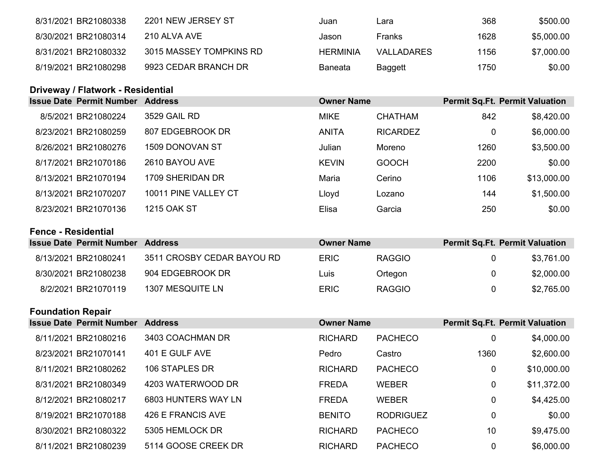| 8/31/2021 BR21080338 | 2201 NEW JERSEY ST      | Juan     | Lara              | 368  | \$500.00   |
|----------------------|-------------------------|----------|-------------------|------|------------|
| 8/30/2021 BR21080314 | 210 ALVA AVE            | Jason    | Franks            | 1628 | \$5,000.00 |
| 8/31/2021 BR21080332 | 3015 MASSEY TOMPKINS RD | HERMINIA | <b>VALLADARES</b> | 1156 | \$7,000.00 |
| 8/19/2021 BR21080298 | 9923 CEDAR BRANCH DR    | Baneata  | Baggett           | 1750 | \$0.00     |

## **Driveway / Flatwork - Residential**

| <b>Issue Date Permit Number</b> | <b>Address</b>         | <b>Owner Name</b> |                 |      | <b>Permit Sq.Ft. Permit Valuation</b> |
|---------------------------------|------------------------|-------------------|-----------------|------|---------------------------------------|
| 8/5/2021 BR21080224             | 3529 GAIL RD           | <b>MIKE</b>       | <b>CHATHAM</b>  | 842  | \$8,420.00                            |
| 8/23/2021 BR21080259            | 807 EDGEBROOK DR       | <b>ANITA</b>      | <b>RICARDEZ</b> |      | \$6,000.00                            |
| 8/26/2021 BR21080276            | <b>1509 DONOVAN ST</b> | Julian            | Moreno          | 1260 | \$3,500.00                            |
| 8/17/2021 BR21070186            | 2610 BAYOU AVE         | <b>KEVIN</b>      | <b>GOOCH</b>    | 2200 | \$0.00                                |
| 8/13/2021 BR21070194            | 1709 SHERIDAN DR       | Maria             | Cerino          | 1106 | \$13,000.00                           |
| 8/13/2021 BR21070207            | 10011 PINE VALLEY CT   | Lloyd             | Lozano          | 144  | \$1,500.00                            |
| 8/23/2021 BR21070136            | <b>1215 OAK ST</b>     | Elisa             | Garcia          | 250  | \$0.00                                |

### **Fence - Residential**

| <b>Issue Date Permit Number Address</b> |                            | <b>Owner Name</b> |               | <b>Permit Sq.Ft. Permit Valuation</b> |            |
|-----------------------------------------|----------------------------|-------------------|---------------|---------------------------------------|------------|
| 8/13/2021 BR21080241                    | 3511 CROSBY CEDAR BAYOU RD | <b>ERIC</b>       | <b>RAGGIO</b> |                                       | \$3,761.00 |
| 8/30/2021 BR21080238                    | 904 EDGEBROOK DR           | Luis              | Ortegon       |                                       | \$2,000.00 |
| 8/2/2021 BR21070119                     | 1307 MESQUITE LN           | <b>ERIC</b>       | <b>RAGGIO</b> |                                       | \$2,765.00 |

## **Foundation Repair**

|  | <b>Issue Date Permit Number</b> | <b>Address</b>      | <b>Owner Name</b> |                  |      | <b>Permit Sq.Ft. Permit Valuation</b> |
|--|---------------------------------|---------------------|-------------------|------------------|------|---------------------------------------|
|  | 8/11/2021 BR21080216            | 3403 COACHMAN DR    | <b>RICHARD</b>    | <b>PACHECO</b>   | 0    | \$4,000.00                            |
|  | 8/23/2021 BR21070141            | 401 E GULF AVE      | Pedro             | Castro           | 1360 | \$2,600.00                            |
|  | 8/11/2021 BR21080262            | 106 STAPLES DR      | <b>RICHARD</b>    | <b>PACHECO</b>   | 0    | \$10,000.00                           |
|  | 8/31/2021 BR21080349            | 4203 WATERWOOD DR   | <b>FREDA</b>      | <b>WEBER</b>     | 0    | \$11,372.00                           |
|  | 8/12/2021 BR21080217            | 6803 HUNTERS WAY LN | <b>FREDA</b>      | <b>WEBER</b>     | 0    | \$4,425.00                            |
|  | 8/19/2021 BR21070188            | 426 E FRANCIS AVE   | <b>BENITO</b>     | <b>RODRIGUEZ</b> | 0    | \$0.00                                |
|  | 8/30/2021 BR21080322            | 5305 HEMLOCK DR     | <b>RICHARD</b>    | <b>PACHECO</b>   | 10   | \$9,475.00                            |
|  | 8/11/2021 BR21080239            | 5114 GOOSE CREEK DR | <b>RICHARD</b>    | <b>PACHECO</b>   |      | \$6,000.00                            |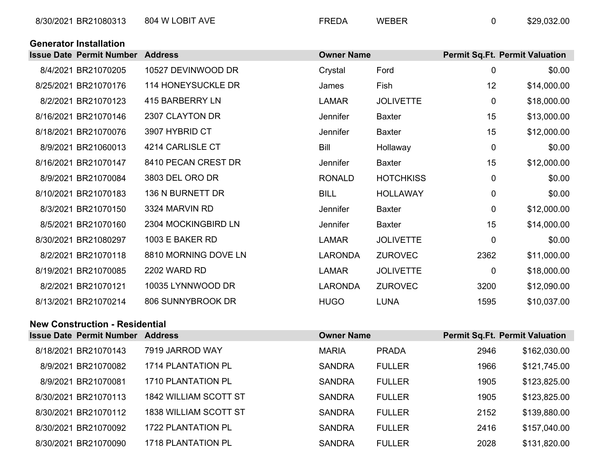|  | <b>Generator Installation</b> |
|--|-------------------------------|
|--|-------------------------------|

| <b>Issue Date Permit Number Address</b> |                           | <b>Owner Name</b> |                  |             | <b>Permit Sq.Ft. Permit Valuation</b> |
|-----------------------------------------|---------------------------|-------------------|------------------|-------------|---------------------------------------|
| 8/4/2021 BR21070205                     | 10527 DEVINWOOD DR        | Crystal           | Ford             | 0           | \$0.00                                |
| 8/25/2021 BR21070176                    | <b>114 HONEYSUCKLE DR</b> | James             | Fish             | 12          | \$14,000.00                           |
| 8/2/2021 BR21070123                     | 415 BARBERRY LN           | <b>LAMAR</b>      | <b>JOLIVETTE</b> | $\mathbf 0$ | \$18,000.00                           |
| 8/16/2021 BR21070146                    | 2307 CLAYTON DR           | Jennifer          | <b>Baxter</b>    | 15          | \$13,000.00                           |
| 8/18/2021 BR21070076                    | 3907 HYBRID CT            | Jennifer          | <b>Baxter</b>    | 15          | \$12,000.00                           |
| 8/9/2021 BR21060013                     | 4214 CARLISLE CT          | <b>Bill</b>       | Hollaway         | 0           | \$0.00                                |
| 8/16/2021 BR21070147                    | 8410 PECAN CREST DR       | Jennifer          | Baxter           | 15          | \$12,000.00                           |
| 8/9/2021 BR21070084                     | 3803 DEL ORO DR           | <b>RONALD</b>     | <b>HOTCHKISS</b> | 0           | \$0.00                                |
| 8/10/2021 BR21070183                    | 136 N BURNETT DR          | <b>BILL</b>       | <b>HOLLAWAY</b>  | 0           | \$0.00                                |
| 8/3/2021 BR21070150                     | 3324 MARVIN RD            | Jennifer          | <b>Baxter</b>    | 0           | \$12,000.00                           |
| 8/5/2021 BR21070160                     | 2304 MOCKINGBIRD LN       | Jennifer          | <b>Baxter</b>    | 15          | \$14,000.00                           |
| 8/30/2021 BR21080297                    | 1003 E BAKER RD           | <b>LAMAR</b>      | <b>JOLIVETTE</b> | $\mathbf 0$ | \$0.00                                |
| 8/2/2021 BR21070118                     | 8810 MORNING DOVE LN      | <b>LARONDA</b>    | <b>ZUROVEC</b>   | 2362        | \$11,000.00                           |
| 8/19/2021 BR21070085                    | <b>2202 WARD RD</b>       | <b>LAMAR</b>      | <b>JOLIVETTE</b> | 0           | \$18,000.00                           |
| 8/2/2021 BR21070121                     | 10035 LYNNWOOD DR         | <b>LARONDA</b>    | <b>ZUROVEC</b>   | 3200        | \$12,090.00                           |
| 8/13/2021 BR21070214                    | 806 SUNNYBROOK DR         | <b>HUGO</b>       | <b>LUNA</b>      | 1595        | \$10,037.00                           |

### **New Construction - Residential**

|  | <b>Issue Date Permit Number Address</b> |                              | <b>Owner Name</b> |               | <b>Permit Sq.Ft. Permit Valuation</b> |              |
|--|-----------------------------------------|------------------------------|-------------------|---------------|---------------------------------------|--------------|
|  | 8/18/2021 BR21070143                    | 7919 JARROD WAY              | <b>MARIA</b>      | <b>PRADA</b>  | 2946                                  | \$162,030.00 |
|  | 8/9/2021 BR21070082                     | <b>1714 PLANTATION PL</b>    | <b>SANDRA</b>     | <b>FULLER</b> | 1966                                  | \$121,745.00 |
|  | 8/9/2021 BR21070081                     | 1710 PLANTATION PL           | <b>SANDRA</b>     | <b>FULLER</b> | 1905                                  | \$123,825.00 |
|  | 8/30/2021 BR21070113                    | <b>1842 WILLIAM SCOTT ST</b> | <b>SANDRA</b>     | <b>FULLER</b> | 1905                                  | \$123,825.00 |
|  | 8/30/2021 BR21070112                    | <b>1838 WILLIAM SCOTT ST</b> | <b>SANDRA</b>     | <b>FULLER</b> | 2152                                  | \$139,880.00 |
|  | 8/30/2021 BR21070092                    | 1722 PLANTATION PL           | <b>SANDRA</b>     | <b>FULLER</b> | 2416                                  | \$157,040.00 |
|  | 8/30/2021 BR21070090                    | <b>1718 PLANTATION PL</b>    | <b>SANDRA</b>     | <b>FULLER</b> | 2028                                  | \$131,820.00 |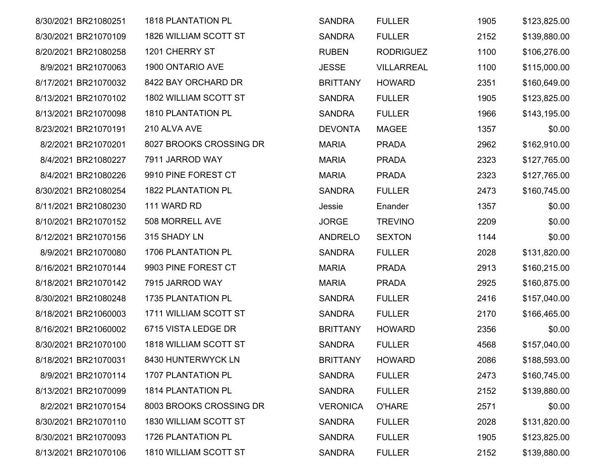| 8/30/2021 BR21080251 | <b>1818 PLANTATION PL</b>    | <b>SANDRA</b>   | <b>FULLER</b>     | 1905 | \$123,825.00 |
|----------------------|------------------------------|-----------------|-------------------|------|--------------|
| 8/30/2021 BR21070109 | 1826 WILLIAM SCOTT ST        | <b>SANDRA</b>   | <b>FULLER</b>     | 2152 | \$139,880.00 |
| 8/20/2021 BR21080258 | 1201 CHERRY ST               | <b>RUBEN</b>    | <b>RODRIGUEZ</b>  | 1100 | \$106,276.00 |
| 8/9/2021 BR21070063  | 1900 ONTARIO AVE             | <b>JESSE</b>    | <b>VILLARREAL</b> | 1100 | \$115,000.00 |
| 8/17/2021 BR21070032 | 8422 BAY ORCHARD DR          | <b>BRITTANY</b> | <b>HOWARD</b>     | 2351 | \$160,649.00 |
| 8/13/2021 BR21070102 | 1802 WILLIAM SCOTT ST        | <b>SANDRA</b>   | <b>FULLER</b>     | 1905 | \$123,825.00 |
| 8/13/2021 BR21070098 | <b>1810 PLANTATION PL</b>    | <b>SANDRA</b>   | <b>FULLER</b>     | 1966 | \$143,195.00 |
| 8/23/2021 BR21070191 | 210 ALVA AVE                 | <b>DEVONTA</b>  | <b>MAGEE</b>      | 1357 | \$0.00       |
| 8/2/2021 BR21070201  | 8027 BROOKS CROSSING DR      | <b>MARIA</b>    | <b>PRADA</b>      | 2962 | \$162,910.00 |
| 8/4/2021 BR21080227  | 7911 JARROD WAY              | <b>MARIA</b>    | <b>PRADA</b>      | 2323 | \$127,765.00 |
| 8/4/2021 BR21080226  | 9910 PINE FOREST CT          | <b>MARIA</b>    | <b>PRADA</b>      | 2323 | \$127,765.00 |
| 8/30/2021 BR21080254 | <b>1822 PLANTATION PL</b>    | <b>SANDRA</b>   | <b>FULLER</b>     | 2473 | \$160,745.00 |
| 8/11/2021 BR21080230 | 111 WARD RD                  | Jessie          | Enander           | 1357 | \$0.00       |
| 8/10/2021 BR21070152 | 508 MORRELL AVE              | <b>JORGE</b>    | <b>TREVINO</b>    | 2209 | \$0.00       |
| 8/12/2021 BR21070156 | 315 SHADY LN                 | <b>ANDRELO</b>  | <b>SEXTON</b>     | 1144 | \$0.00       |
| 8/9/2021 BR21070080  | <b>1706 PLANTATION PL</b>    | <b>SANDRA</b>   | <b>FULLER</b>     | 2028 | \$131,820.00 |
| 8/16/2021 BR21070144 | 9903 PINE FOREST CT          | <b>MARIA</b>    | <b>PRADA</b>      | 2913 | \$160,215.00 |
| 8/18/2021 BR21070142 | 7915 JARROD WAY              | <b>MARIA</b>    | <b>PRADA</b>      | 2925 | \$160,875.00 |
| 8/30/2021 BR21080248 | <b>1735 PLANTATION PL</b>    | <b>SANDRA</b>   | <b>FULLER</b>     | 2416 | \$157,040.00 |
| 8/18/2021 BR21060003 | 1711 WILLIAM SCOTT ST        | <b>SANDRA</b>   | <b>FULLER</b>     | 2170 | \$166,465.00 |
| 8/16/2021 BR21060002 | 6715 VISTA LEDGE DR          | <b>BRITTANY</b> | <b>HOWARD</b>     | 2356 | \$0.00       |
| 8/30/2021 BR21070100 | <b>1818 WILLIAM SCOTT ST</b> | <b>SANDRA</b>   | <b>FULLER</b>     | 4568 | \$157,040.00 |
| 8/18/2021 BR21070031 | 8430 HUNTERWYCK LN           | <b>BRITTANY</b> | <b>HOWARD</b>     | 2086 | \$188,593.00 |
| 8/9/2021 BR21070114  | 1707 PLANTATION PL           | <b>SANDRA</b>   | <b>FULLER</b>     | 2473 | \$160,745.00 |
| 8/13/2021 BR21070099 | <b>1814 PLANTATION PL</b>    | <b>SANDRA</b>   | <b>FULLER</b>     | 2152 | \$139,880.00 |
| 8/2/2021 BR21070154  | 8003 BROOKS CROSSING DR      | <b>VERONICA</b> | <b>O'HARE</b>     | 2571 | \$0.00       |
| 8/30/2021 BR21070110 | 1830 WILLIAM SCOTT ST        | <b>SANDRA</b>   | <b>FULLER</b>     | 2028 | \$131,820.00 |
| 8/30/2021 BR21070093 | <b>1726 PLANTATION PL</b>    | <b>SANDRA</b>   | <b>FULLER</b>     | 1905 | \$123,825.00 |
| 8/13/2021 BR21070106 | 1810 WILLIAM SCOTT ST        | <b>SANDRA</b>   | <b>FULLER</b>     | 2152 | \$139,880.00 |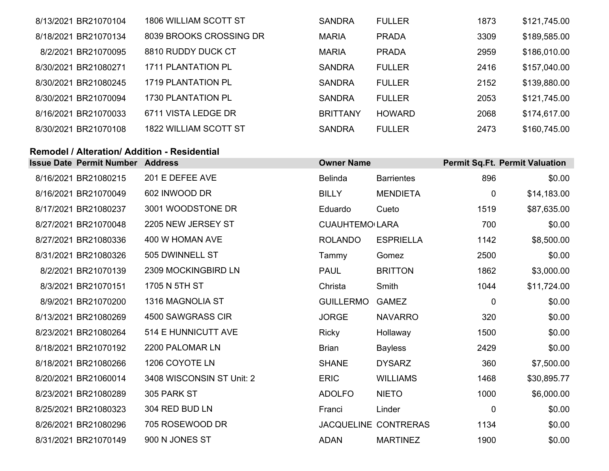| 8/13/2021 BR21070104 | 1806 WILLIAM SCOTT ST     | <b>SANDRA</b>   | <b>FULLER</b> | 1873 | \$121,745.00 |
|----------------------|---------------------------|-----------------|---------------|------|--------------|
| 8/18/2021 BR21070134 | 8039 BROOKS CROSSING DR   | <b>MARIA</b>    | <b>PRADA</b>  | 3309 | \$189,585.00 |
| 8/2/2021 BR21070095  | 8810 RUDDY DUCK CT        | <b>MARIA</b>    | <b>PRADA</b>  | 2959 | \$186,010.00 |
| 8/30/2021 BR21080271 | <b>1711 PLANTATION PL</b> | <b>SANDRA</b>   | <b>FULLER</b> | 2416 | \$157,040.00 |
| 8/30/2021 BR21080245 | 1719 PLANTATION PL        | <b>SANDRA</b>   | <b>FULLER</b> | 2152 | \$139,880.00 |
| 8/30/2021 BR21070094 | 1730 PLANTATION PL        | <b>SANDRA</b>   | <b>FULLER</b> | 2053 | \$121,745.00 |
| 8/16/2021 BR21070033 | 6711 VISTA LEDGE DR       | <b>BRITTANY</b> | <b>HOWARD</b> | 2068 | \$174,617.00 |
| 8/30/2021 BR21070108 | 1822 WILLIAM SCOTT ST     | <b>SANDRA</b>   | <b>FULLER</b> | 2473 | \$160,745.00 |

#### **Remodel / Alteration/ Addition - Residential**

| <b>Issue Date Permit Number Address</b> |                           | <b>Owner Name</b>     |                             |              | <b>Permit Sq.Ft. Permit Valuation</b> |
|-----------------------------------------|---------------------------|-----------------------|-----------------------------|--------------|---------------------------------------|
| 8/16/2021 BR21080215                    | 201 E DEFEE AVE           | <b>Belinda</b>        | <b>Barrientes</b>           | 896          | \$0.00                                |
| 8/16/2021 BR21070049                    | 602 INWOOD DR             | <b>BILLY</b>          | <b>MENDIETA</b>             | $\mathbf 0$  | \$14,183.00                           |
| 8/17/2021 BR21080237                    | 3001 WOODSTONE DR         | Eduardo               | Cueto                       | 1519         | \$87,635.00                           |
| 8/27/2021 BR21070048                    | 2205 NEW JERSEY ST        | <b>CUAUHTEMO LARA</b> |                             | 700          | \$0.00                                |
| 8/27/2021 BR21080336                    | 400 W HOMAN AVE           | <b>ROLANDO</b>        | <b>ESPRIELLA</b>            | 1142         | \$8,500.00                            |
| 8/31/2021 BR21080326                    | 505 DWINNELL ST           | Tammy                 | Gomez                       | 2500         | \$0.00                                |
| 8/2/2021 BR21070139                     | 2309 MOCKINGBIRD LN       | <b>PAUL</b>           | <b>BRITTON</b>              | 1862         | \$3,000.00                            |
| 8/3/2021 BR21070151                     | 1705 N 5TH ST             | Christa               | Smith                       | 1044         | \$11,724.00                           |
| 8/9/2021 BR21070200                     | 1316 MAGNOLIA ST          | <b>GUILLERMO</b>      | <b>GAMEZ</b>                | $\mathbf 0$  | \$0.00                                |
| 8/13/2021 BR21080269                    | 4500 SAWGRASS CIR         | <b>JORGE</b>          | <b>NAVARRO</b>              | 320          | \$0.00                                |
| 8/23/2021 BR21080264                    | 514 E HUNNICUTT AVE       | <b>Ricky</b>          | Hollaway                    | 1500         | \$0.00                                |
| 8/18/2021 BR21070192                    | 2200 PALOMAR LN           | <b>Brian</b>          | <b>Bayless</b>              | 2429         | \$0.00                                |
| 8/18/2021 BR21080266                    | 1206 COYOTE LN            | <b>SHANE</b>          | <b>DYSARZ</b>               | 360          | \$7,500.00                            |
| 8/20/2021 BR21060014                    | 3408 WISCONSIN ST Unit: 2 | <b>ERIC</b>           | <b>WILLIAMS</b>             | 1468         | \$30,895.77                           |
| 8/23/2021 BR21080289                    | 305 PARK ST               | <b>ADOLFO</b>         | <b>NIETO</b>                | 1000         | \$6,000.00                            |
| 8/25/2021 BR21080323                    | 304 RED BUD LN            | Franci                | Linder                      | $\mathbf{0}$ | \$0.00                                |
| 8/26/2021 BR21080296                    | 705 ROSEWOOD DR           |                       | <b>JACQUELINE CONTRERAS</b> | 1134         | \$0.00                                |
| 8/31/2021 BR21070149                    | 900 N JONES ST            | <b>ADAN</b>           | <b>MARTINEZ</b>             | 1900         | \$0.00                                |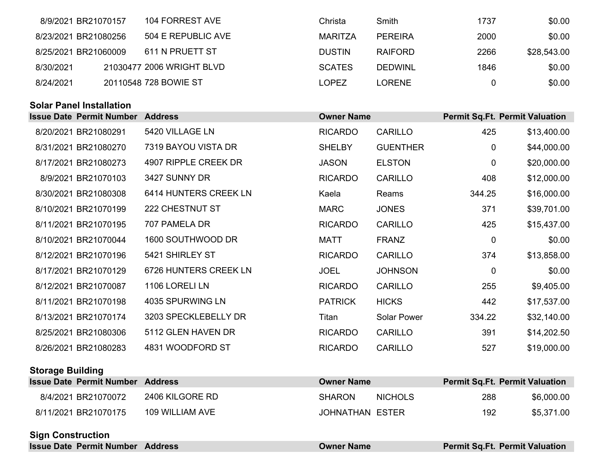| 8/9/2021 BR21070157  | 104 FORREST AVE           | Christa       | Smith          | 1737 | \$0.00      |
|----------------------|---------------------------|---------------|----------------|------|-------------|
| 8/23/2021 BR21080256 | 504 E REPUBLIC AVE        | MARITZA       | <b>PEREIRA</b> | 2000 | \$0.00      |
| 8/25/2021 BR21060009 | 611 N PRUETT ST           | <b>DUSTIN</b> | <b>RAIFORD</b> | 2266 | \$28,543.00 |
| 8/30/2021            | 21030477 2006 WRIGHT BLVD | <b>SCATES</b> | <b>DEDWINL</b> | 1846 | \$0.00      |
| 8/24/2021            | 20110548 728 BOWIE ST     | <b>LOPEZ</b>  | LORENE         |      | \$0.00      |

### **Solar Panel Installation**

| <b>Issue Date Permit Number Address</b> |                       | <b>Owner Name</b> |                    |             | <b>Permit Sq.Ft. Permit Valuation</b> |
|-----------------------------------------|-----------------------|-------------------|--------------------|-------------|---------------------------------------|
| 8/20/2021 BR21080291                    | 5420 VILLAGE LN       | <b>RICARDO</b>    | <b>CARILLO</b>     | 425         | \$13,400.00                           |
| 8/31/2021 BR21080270                    | 7319 BAYOU VISTA DR   | <b>SHELBY</b>     | <b>GUENTHER</b>    | 0           | \$44,000.00                           |
| 8/17/2021 BR21080273                    | 4907 RIPPLE CREEK DR  | <b>JASON</b>      | <b>ELSTON</b>      | $\mathbf 0$ | \$20,000.00                           |
| 8/9/2021 BR21070103                     | 3427 SUNNY DR         | <b>RICARDO</b>    | <b>CARILLO</b>     | 408         | \$12,000.00                           |
| 8/30/2021 BR21080308                    | 6414 HUNTERS CREEK LN | Kaela             | Reams              | 344.25      | \$16,000.00                           |
| 8/10/2021 BR21070199                    | 222 CHESTNUT ST       | <b>MARC</b>       | <b>JONES</b>       | 371         | \$39,701.00                           |
| 8/11/2021 BR21070195                    | 707 PAMELA DR         | <b>RICARDO</b>    | <b>CARILLO</b>     | 425         | \$15,437.00                           |
| 8/10/2021 BR21070044                    | 1600 SOUTHWOOD DR     | MATT              | <b>FRANZ</b>       | $\mathbf 0$ | \$0.00                                |
| 8/12/2021 BR21070196                    | 5421 SHIRLEY ST       | <b>RICARDO</b>    | <b>CARILLO</b>     | 374         | \$13,858.00                           |
| 8/17/2021 BR21070129                    | 6726 HUNTERS CREEK LN | <b>JOEL</b>       | <b>JOHNSON</b>     | $\mathbf 0$ | \$0.00                                |
| 8/12/2021 BR21070087                    | 1106 LORELI LN        | <b>RICARDO</b>    | <b>CARILLO</b>     | 255         | \$9,405.00                            |
| 8/11/2021 BR21070198                    | 4035 SPURWING LN      | <b>PATRICK</b>    | <b>HICKS</b>       | 442         | \$17,537.00                           |
| 8/13/2021 BR21070174                    | 3203 SPECKLEBELLY DR  | Titan             | <b>Solar Power</b> | 334.22      | \$32,140.00                           |
| 8/25/2021 BR21080306                    | 5112 GLEN HAVEN DR    | <b>RICARDO</b>    | <b>CARILLO</b>     | 391         | \$14,202.50                           |
| 8/26/2021 BR21080283                    | 4831 WOODFORD ST      | <b>RICARDO</b>    | <b>CARILLO</b>     | 527         | \$19,000.00                           |

### **Storage Building**

| <b>Issue Date Permit Number Address</b> |                 | <b>Owner Name</b> |                | <b>Permit Sq.Ft. Permit Valuation</b> |            |
|-----------------------------------------|-----------------|-------------------|----------------|---------------------------------------|------------|
| 8/4/2021 BR21070072                     | 2406 KILGORE RD | <b>SHARON</b>     | <b>NICHOLS</b> | 288                                   | \$6,000.00 |
| 8/11/2021 BR21070175                    | 109 WILLIAM AVE | JOHNATHAN ESTER   |                | 192                                   | \$5,371.00 |

### **Sign Construction**

| <b>Issue Date Permit Number Address</b> | <b>Owner Name</b> | <b>Permit Sq.Ft. Permit Valuation</b> |
|-----------------------------------------|-------------------|---------------------------------------|